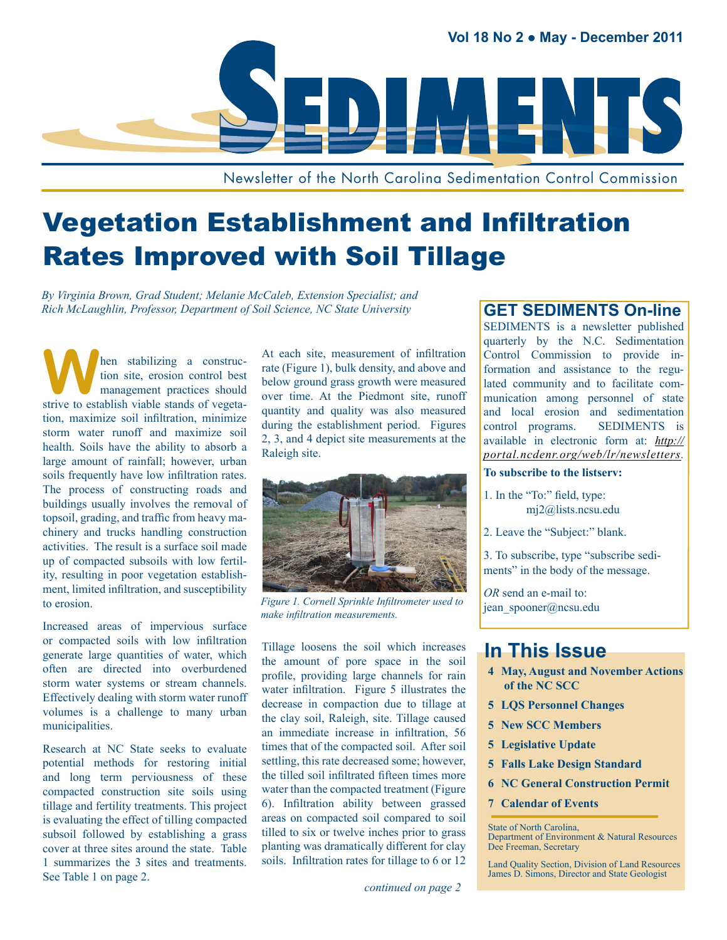

Newsletter of the North Carolina Sedimentation Control Commission

## Vegetation Establishment and Infiltration Rates Improved with Soil Tillage

*By Virginia Brown, Grad Student; Melanie McCaleb, Extension Specialist; and Rich McLaughlin, Professor, Department of Soil Science, NC State University*

**W** hen stabilizing a construction site, erosion control best<br>
management practices should tion site, erosion control best strive to establish viable stands of vegetation, maximize soil infiltration, minimize storm water runoff and maximize soil health. Soils have the ability to absorb a large amount of rainfall; however, urban soils frequently have low infiltration rates. The process of constructing roads and buildings usually involves the removal of topsoil, grading, and traffic from heavy machinery and trucks handling construction activities. The result is a surface soil made up of compacted subsoils with low fertility, resulting in poor vegetation establishment, limited infiltration, and susceptibility to erosion.

Increased areas of impervious surface or compacted soils with low infiltration generate large quantities of water, which often are directed into overburdened storm water systems or stream channels. Effectively dealing with storm water runoff volumes is a challenge to many urban municipalities.

Research at NC State seeks to evaluate potential methods for restoring initial and long term perviousness of these compacted construction site soils using tillage and fertility treatments. This project is evaluating the effect of tilling compacted subsoil followed by establishing a grass cover at three sites around the state. Table 1 summarizes the 3 sites and treatments. See Table 1 on page 2.

At each site, measurement of infiltration rate (Figure 1), bulk density, and above and below ground grass growth were measured over time. At the Piedmont site, runoff quantity and quality was also measured during the establishment period. Figures 2, 3, and 4 depict site measurements at the Raleigh site.



*Figure 1. Cornell Sprinkle Infiltrometer used to make infiltration measurements.*

Tillage loosens the soil which increases the amount of pore space in the soil profile, providing large channels for rain water infiltration. Figure 5 illustrates the decrease in compaction due to tillage at the clay soil, Raleigh, site. Tillage caused an immediate increase in infiltration, 56 times that of the compacted soil. After soil settling, this rate decreased some; however, the tilled soil infiltrated fifteen times more water than the compacted treatment (Figure 6). Infiltration ability between grassed areas on compacted soil compared to soil tilled to six or twelve inches prior to grass planting was dramatically different for clay soils. Infiltration rates for tillage to 6 or 12

#### **GET SEDIMENTS On-line**

SEDIMENTS is a newsletter published quarterly by the N.C. Sedimentation Control Commission to provide information and assistance to the regulated community and to facilitate communication among personnel of state and local erosion and sedimentation control programs. SEDIMENTS is available in electronic form at: *http:// portal.ncdenr.org/web/lr/newsletters[.](http://www.dlr.enr.state.nc.us/pages/sedimentationnewsletters.html)* 

#### **To subscribe to the listserv:**

- 1. In the "To:" field, type: [mj2@lists.ncsu.edu](mailto:mj2@lists.ncsu.edu)
- 2. Leave the "Subject:" blank.

3. To subscribe, type "subscribe sediments" in the body of the message.

*OR* send an e-mail to: jean\_spooner[@ncsu.edu](mailto:bonnie_kurth@ncsu.edu)

## **In This Issue**

- **4 [May, August and November Actions](#page-6-0)  [of the NC SCC](#page-6-0)**
- **5 [LQS Personnel Changes](#page-6-0)**
- **5 [New SCC Members](#page-6-0)**
- **5 [Legislative Update](#page-6-0)**
- **5 [Falls Lake Design Standard](#page-6-0)**
- **6 [NC General Construction Permit](#page-6-0)**
- **7 [Calendar of Events](#page-6-0)**

State of North Carolina,

Department of Environment & Natural Resources Dee Freeman, Secretary

Land Quality Section, Division of Land Resources James D. Simons, Director and State Geologist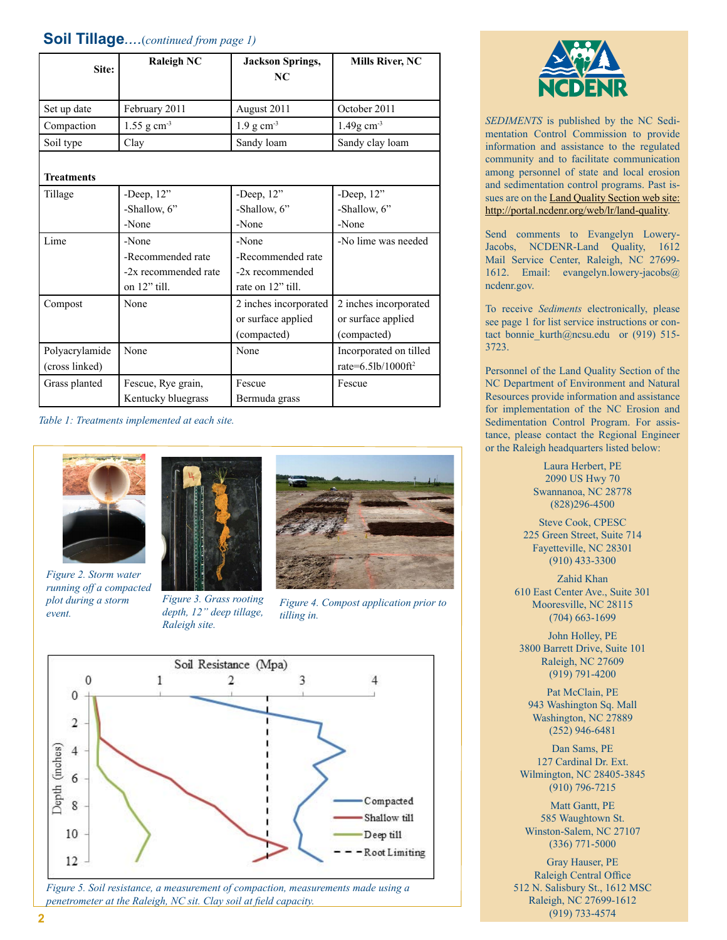#### **Soil Tillage***....*(*continued from page 1)*

| Site:                            | <b>Raleigh NC</b>                                                  | <b>Jackson Springs,</b><br>NC.                                     | <b>Mills River, NC</b>                                     |
|----------------------------------|--------------------------------------------------------------------|--------------------------------------------------------------------|------------------------------------------------------------|
| Set up date                      | February 2011                                                      | August 2011                                                        | October 2011                                               |
| Compaction                       | $1.55$ g cm <sup>-3</sup>                                          | $1.9 g cm-3$                                                       | $1.49g$ cm <sup>-3</sup>                                   |
| Soil type                        | Clay                                                               | Sandy loam                                                         | Sandy clay loam                                            |
| <b>Treatments</b>                |                                                                    |                                                                    |                                                            |
| Tillage                          | -Deep, $12"$                                                       | -Deep, $12"$                                                       | -Deep, $12"$                                               |
|                                  | -Shallow, 6"                                                       | -Shallow, 6"                                                       | -Shallow, 6"                                               |
|                                  | -None                                                              | -None                                                              | -None                                                      |
| Lime                             | -None<br>-Recommended rate<br>-2x recommended rate<br>on 12" till. | -None<br>-Recommended rate<br>-2x recommended<br>rate on 12" till. | -No lime was needed                                        |
| Compost                          | None                                                               | 2 inches incorporated<br>or surface applied<br>(compacted)         | 2 inches incorporated<br>or surface applied<br>(compacted) |
| Polyacrylamide<br>(cross linked) | None                                                               | None                                                               | Incorporated on tilled<br>rate=6.5lb/1000ft <sup>2</sup>   |
| Grass planted                    | Fescue, Rye grain,<br>Kentucky bluegrass                           | Fescue<br>Bermuda grass                                            | Fescue                                                     |

*Table 1: Treatments implemented at each site.*



*Figure 2. Storm water running off a compacted plot during a storm event.*



*Figure 3. Grass rooting depth, 12" deep tillage, Raleigh site.*



*Figure 4. Compost application prior to tilling in.*



*Figure 5. Soil resistance, a measurement of compaction, measurements made using a penetrometer at the Raleigh, NC sit. Clay soil at field capacity.*



*Sediments* is published by the NC Sedimentation Control Commission to provide information and assistance to the regulated community and to facilitate communication among personnel of state and local erosion and sedimentation control programs. Past is-sues are on the [Land Quality Section web site](http://portal.ncdenr.org/web/lr/land-quality): http://portal.ncdenr.org/web/lr/land-quality.

Send comments to Evangelyn Lowery-Jacobs, NCDENR-Land Quality, 1612 Mail Service Center, Raleigh, NC 27699- 1612. Email: [evangelyn.lowery-jacobs@](mailto:evangelyn.lowery-jacobs@ncdenr.gov) [ncdenr.gov.](mailto:evangelyn.lowery-jacobs@ncdenr.gov)

To receive *Sediments* electronically, please see page 1 for list service instructions or contact bonnie kurth@ncsu.edu or (919) 515-3723.

Personnel of the Land Quality Section of the NC Department of Environment and Natural Resources provide information and assistance for implementation of the NC Erosion and Sedimentation Control Program. For assistance, please contact the Regional Engineer or the Raleigh headquarters listed below:

> Laura Herbert, PE 2090 US Hwy 70 Swannanoa, NC 28778 (828)296-4500

Steve Cook, CPESC 225 Green Street, Suite 714 Fayetteville, NC 28301 (910) 433-3300

Zahid Khan 610 East Center Ave., Suite 301 Mooresville, NC 28115 (704) 663-1699

John Holley, PE 3800 Barrett Drive, Suite 101 Raleigh, NC 27609 (919) 791-4200

Pat McClain, PE 943 Washington Sq. Mall Washington, NC 27889 (252) 946-6481

Dan Sams, PE 127 Cardinal Dr. Ext. Wilmington, NC 28405-3845 (910) 796-7215

Matt Gantt, PE 585 Waughtown St. Winston-Salem, NC 27107 (336) 771-5000

Gray Hauser, PE Raleigh Central Office 512 N. Salisbury St., 1612 MSC Raleigh, NC 27699-1612 (919) 733-4574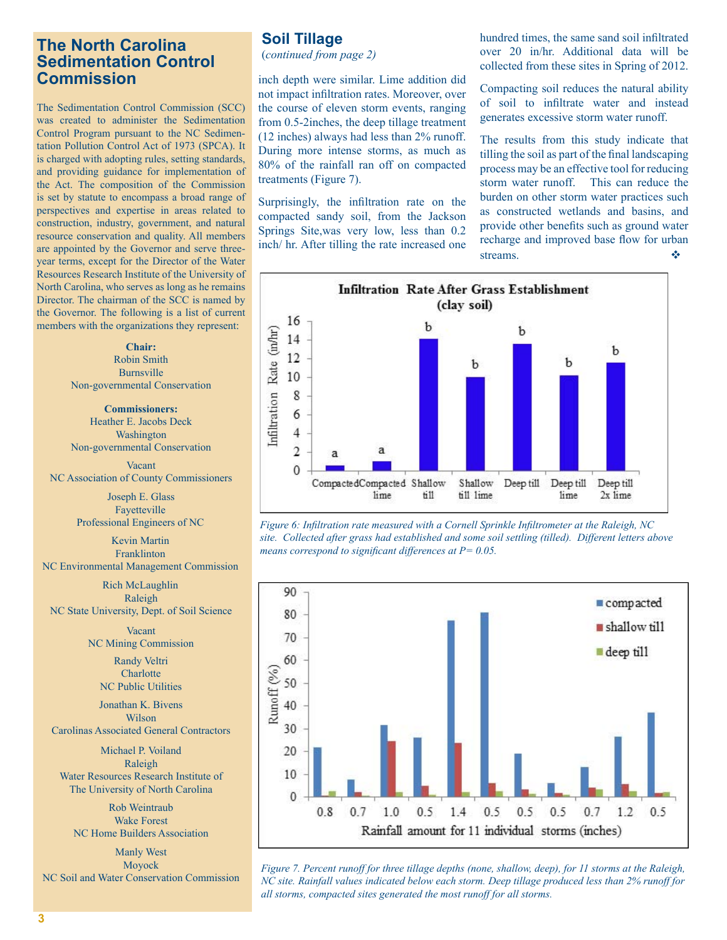#### **The North Carolina Sedimentation Control Commission**

The Sedimentation Control Commission (SCC) was created to administer the Sedimentation Control Program pursuant to the NC Sedimentation Pollution Control Act of 1973 (SPCA). It is charged with adopting rules, setting standards, and providing guidance for implementation of the Act. The composition of the Commission is set by statute to encompass a broad range of perspectives and expertise in areas related to construction, industry, government, and natural resource conservation and quality. All members are appointed by the Governor and serve threeyear terms, except for the Director of the Water Resources Research Institute of the University of North Carolina, who serves as long as he remains Director. The chairman of the SCC is named by the Governor. The following is a list of current members with the organizations they represent:

> **Chair:**  Robin Smith Burnsville Non-governmental Conservation

> **Commissioners:**  Heather E. Jacobs Deck Washington Non-governmental Conservation

Vacant NC Association of County Commissioners

> Joseph E. Glass Fayetteville Professional Engineers of NC

Kevin Martin Franklinton NC Environmental Management Commission

Rich McLaughlin Raleigh NC State University, Dept. of Soil Science

> Vacant NC Mining Commission

> > Randy Veltri **Charlotte** NC Public Utilities

Jonathan K. Bivens Wilson Carolinas Associated General Contractors

Michael P. Voiland Raleigh Water Resources Research Institute of The University of North Carolina

Rob Weintraub Wake Forest NC Home Builders Association

Manly West Moyock NC Soil and Water Conservation Commission

## **Soil Tillage**

(*continued from page 2)*

inch depth were similar. Lime addition did not impact infiltration rates. Moreover, over the course of eleven storm events, ranging from 0.5-2inches, the deep tillage treatment (12 inches) always had less than 2% runoff. During more intense storms, as much as 80% of the rainfall ran off on compacted treatments (Figure 7).

Surprisingly, the infiltration rate on the compacted sandy soil, from the Jackson Springs Site,was very low, less than 0.2 inch/ hr. After tilling the rate increased one hundred times, the same sand soil infiltrated over 20 in/hr. Additional data will be collected from these sites in Spring of 2012.

Compacting soil reduces the natural ability of soil to infiltrate water and instead generates excessive storm water runoff.

The results from this study indicate that tilling the soil as part of the final landscaping process may be an effective tool for reducing storm water runoff. This can reduce the burden on other storm water practices such as constructed wetlands and basins, and provide other benefits such as ground water recharge and improved base flow for urban streams.



*Figure 6: Infiltration rate measured with a Cornell Sprinkle Infiltrometer at the Raleigh, NC site. Collected after grass had established and some soil settling (tilled). Different letters above means correspond to significant differences at P= 0.05.*



*Figure 7. Percent runoff for three tillage depths (none, shallow, deep), for 11 storms at the Raleigh, NC site. Rainfall values indicated below each storm. Deep tillage produced less than 2% runoff for all storms, compacted sites generated the most runoff for all storms.*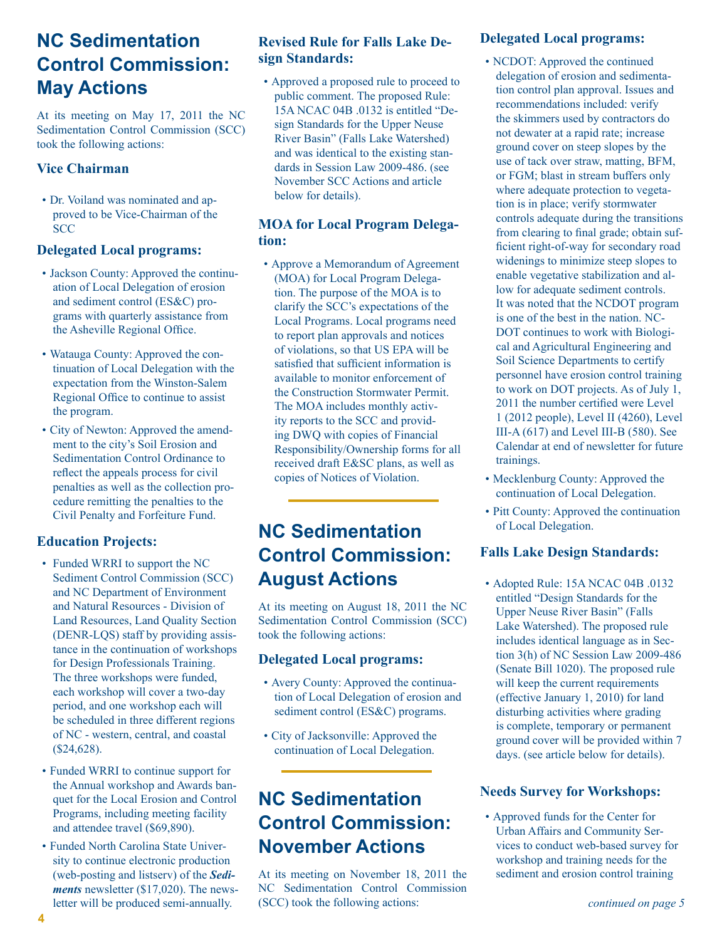## **NC Sedimentation Control Commission: May Actions**

At its meeting on May 17, 2011 the NC Sedimentation Control Commission (SCC) took the following actions:

#### **Vice Chairman**

• Dr. Voiland was nominated and approved to be Vice-Chairman of the **SCC** 

#### **Delegated Local programs:**

- Jackson County: Approved the continuation of Local Delegation of erosion and sediment control (ES&C) programs with quarterly assistance from the Asheville Regional Office.
- Watauga County: Approved the continuation of Local Delegation with the expectation from the Winston-Salem Regional Office to continue to assist the program.
- City of Newton: Approved the amendment to the city's Soil Erosion and Sedimentation Control Ordinance to reflect the appeals process for civil penalties as well as the collection procedure remitting the penalties to the Civil Penalty and Forfeiture Fund.

#### **Education Projects:**

- Funded WRRI to support the NC Sediment Control Commission (SCC) and NC Department of Environment and Natural Resources - Division of Land Resources, Land Quality Section (DENR-LQS) staff by providing assistance in the continuation of workshops for Design Professionals Training. The three workshops were funded, each workshop will cover a two-day period, and one workshop each will be scheduled in three different regions of NC - western, central, and coastal (\$24,628).
- Funded WRRI to continue support for the Annual workshop and Awards banquet for the Local Erosion and Control Programs, including meeting facility and attendee travel (\$69,890).
- Funded North Carolina State University to continue electronic production (web-posting and listserv) of the *Sediments* newsletter (\$17,020). The newsletter will be produced semi-annually.

#### **Revised Rule for Falls Lake Design Standards:**

• Approved a proposed rule to proceed to public comment. The proposed Rule: 15A NCAC 04B .0132 is entitled "Design Standards for the Upper Neuse River Basin" (Falls Lake Watershed) and was identical to the existing standards in Session Law 2009-486. (see November SCC Actions and article below for details).

#### **MOA for Local Program Delegation:**

• Approve a Memorandum of Agreement (MOA) for Local Program Delegation. The purpose of the MOA is to clarify the SCC's expectations of the Local Programs. Local programs need to report plan approvals and notices of violations, so that US EPA will be satisfied that sufficient information is available to monitor enforcement of the Construction Stormwater Permit. The MOA includes monthly activity reports to the SCC and providing DWQ with copies of Financial Responsibility/Ownership forms for all received draft E&SC plans, as well as copies of Notices of Violation.

## **NC Sedimentation Control Commission: August Actions**

At its meeting on August 18, 2011 the NC Sedimentation Control Commission (SCC) took the following actions:

#### **Delegated Local programs:**

- Avery County: Approved the continuation of Local Delegation of erosion and sediment control (ES&C) programs.
- City of Jacksonville: Approved the continuation of Local Delegation.

## **NC Sedimentation Control Commission: November Actions**

At its meeting on November 18, 2011 the NC Sedimentation Control Commission (SCC) took the following actions:

#### **Delegated Local programs:**

- NCDOT: Approved the continued delegation of erosion and sedimentation control plan approval. Issues and recommendations included: verify the skimmers used by contractors do not dewater at a rapid rate; increase ground cover on steep slopes by the use of tack over straw, matting, BFM, or FGM; blast in stream buffers only where adequate protection to vegetation is in place; verify stormwater controls adequate during the transitions from clearing to final grade; obtain sufficient right-of-way for secondary road widenings to minimize steep slopes to enable vegetative stabilization and allow for adequate sediment controls. It was noted that the NCDOT program is one of the best in the nation. NC-DOT continues to work with Biological and Agricultural Engineering and Soil Science Departments to certify personnel have erosion control training to work on DOT projects. As of July 1, 2011 the number certified were Level 1 (2012 people), Level II (4260), Level III-A (617) and Level III-B (580). See Calendar at end of newsletter for future trainings.
- Mecklenburg County: Approved the continuation of Local Delegation.
- Pitt County: Approved the continuation of Local Delegation.

#### **Falls Lake Design Standards:**

• Adopted Rule: 15A NCAC 04B .0132 entitled "Design Standards for the Upper Neuse River Basin" (Falls Lake Watershed). The proposed rule includes identical language as in Section 3(h) of NC Session Law 2009-486 (Senate Bill 1020). The proposed rule will keep the current requirements (effective January 1, 2010) for land disturbing activities where grading is complete, temporary or permanent ground cover will be provided within 7 days. (see article below for details).

#### **Needs Survey for Workshops:**

• Approved funds for the Center for Urban Affairs and Community Services to conduct web-based survey for workshop and training needs for the sediment and erosion control training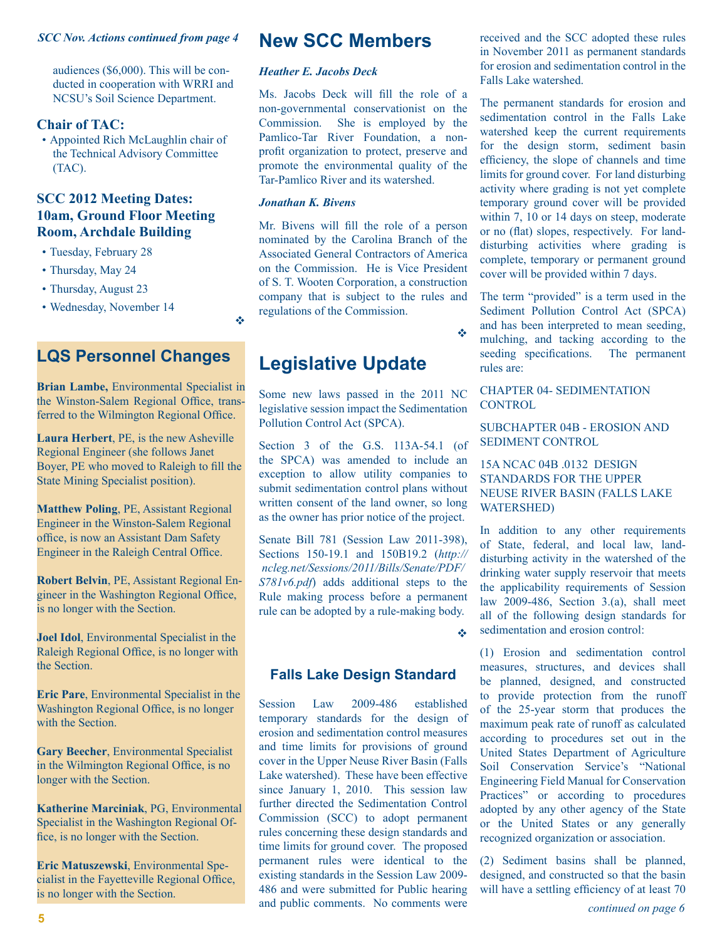#### *SCC Nov. Actions continued from page 4*

audiences (\$6,000). This will be conducted in cooperation with WRRI and NCSU's Soil Science Department.

#### **Chair of TAC:**

• Appointed Rich McLaughlin chair of the Technical Advisory Committee (TAC).

#### **SCC 2012 Meeting Dates: 10am, Ground Floor Meeting Room, Archdale Building**

- Tuesday, February 28
- Thursday, May 24
- Thursday, August 23
- Wednesday, November 14

### **LQS Personnel Changes**

**Brian Lambe,** Environmental Specialist in the Winston-Salem Regional Office, transferred to the Wilmington Regional Office.

**Laura Herbert**, PE, is the new Asheville Regional Engineer (she follows Janet Boyer, PE who moved to Raleigh to fill the State Mining Specialist position).

**Matthew Poling**, PE, Assistant Regional Engineer in the Winston-Salem Regional office, is now an Assistant Dam Safety Engineer in the Raleigh Central Office.

**Robert Belvin**, PE, Assistant Regional Engineer in the Washington Regional Office, is no longer with the Section.

**Joel Idol**, Environmental Specialist in the Raleigh Regional Office, is no longer with the Section.

**Eric Pare**, Environmental Specialist in the Washington Regional Office, is no longer with the Section

**Gary Beecher**, Environmental Specialist in the Wilmington Regional Office, is no longer with the Section.

**Katherine Marciniak**, PG, Environmental Specialist in the Washington Regional Office, is no longer with the Section.

**Eric Matuszewski**, Environmental Specialist in the Fayetteville Regional Office, is no longer with the Section.

#### **New SCC Members**

#### *Heather E. Jacobs Deck*

Ms. Jacobs Deck will fill the role of a non-governmental conservationist on the Commission. She is employed by the Pamlico-Tar River Foundation, a nonprofit organization to protect, preserve and promote the environmental quality of the Tar-Pamlico River and its watershed.

#### *Jonathan K. Bivens*

v

Mr. Bivens will fill the role of a person nominated by the Carolina Branch of the Associated General Contractors of America on the Commission. He is Vice President of S. T. Wooten Corporation, a construction company that is subject to the rules and regulations of the Commission.

## **Legislative Update**

Some new laws passed in the 2011 NC legislative session impact the Sedimentation Pollution Control Act (SPCA).

Section 3 of the G.S. 113A-54.1 (of the SPCA) was amended to include an exception to allow utility companies to submit sedimentation control plans without written consent of the land owner, so long as the owner has prior notice of the project.

Senate Bill 781 (Session Law 2011-398), Sections 150-19.1 and 150B19.2 (*http:// ncleg.net/Sessions/2011/Bills/Senate/PDF/ S781v6.pdf*) adds additional steps to the Rule making process before a permanent rule can be adopted by a rule-making body.

v

v

#### **Falls Lake Design Standard**

**5 5 continued on page 6 continued on page 6 continued on page 6 continued on page 6** Session Law 2009-486 established temporary standards for the design of erosion and sedimentation control measures and time limits for provisions of ground cover in the Upper Neuse River Basin (Falls Lake watershed). These have been effective since January 1, 2010. This session law further directed the Sedimentation Control Commission (SCC) to adopt permanent rules concerning these design standards and time limits for ground cover. The proposed permanent rules were identical to the existing standards in the Session Law 2009- 486 and were submitted for Public hearing and public comments. No comments were

received and the SCC adopted these rules in November 2011 as permanent standards for erosion and sedimentation control in the Falls Lake watershed.

The permanent standards for erosion and sedimentation control in the Falls Lake watershed keep the current requirements for the design storm, sediment basin efficiency, the slope of channels and time limits for ground cover. For land disturbing activity where grading is not yet complete temporary ground cover will be provided within 7, 10 or 14 days on steep, moderate or no (flat) slopes, respectively. For landdisturbing activities where grading is complete, temporary or permanent ground cover will be provided within 7 days.

The term "provided" is a term used in the Sediment Pollution Control Act (SPCA) and has been interpreted to mean seeding, mulching, and tacking according to the seeding specifications. The permanent rules are:

#### CHAPTER 04- SEDIMENTATION CONTROL

SUBCHAPTER 04B - EROSION AND SEDIMENT CONTROL

#### 15A NCAC 04B .0132 DESIGN STANDARDS FOR THE UPPER NEUSE RIVER BASIN (FALLS LAKE WATERSHED)

In addition to any other requirements of State, federal, and local law, landdisturbing activity in the watershed of the drinking water supply reservoir that meets the applicability requirements of Session law  $2009-486$ , Section 3.(a), shall meet all of the following design standards for sedimentation and erosion control:

(1) Erosion and sedimentation control measures, structures, and devices shall be planned, designed, and constructed to provide protection from the runoff of the 25-year storm that produces the maximum peak rate of runoff as calculated according to procedures set out in the United States Department of Agriculture Soil Conservation Service's "National Engineering Field Manual for Conservation Practices" or according to procedures adopted by any other agency of the State or the United States or any generally recognized organization or association.

(2) Sediment basins shall be planned, designed, and constructed so that the basin will have a settling efficiency of at least 70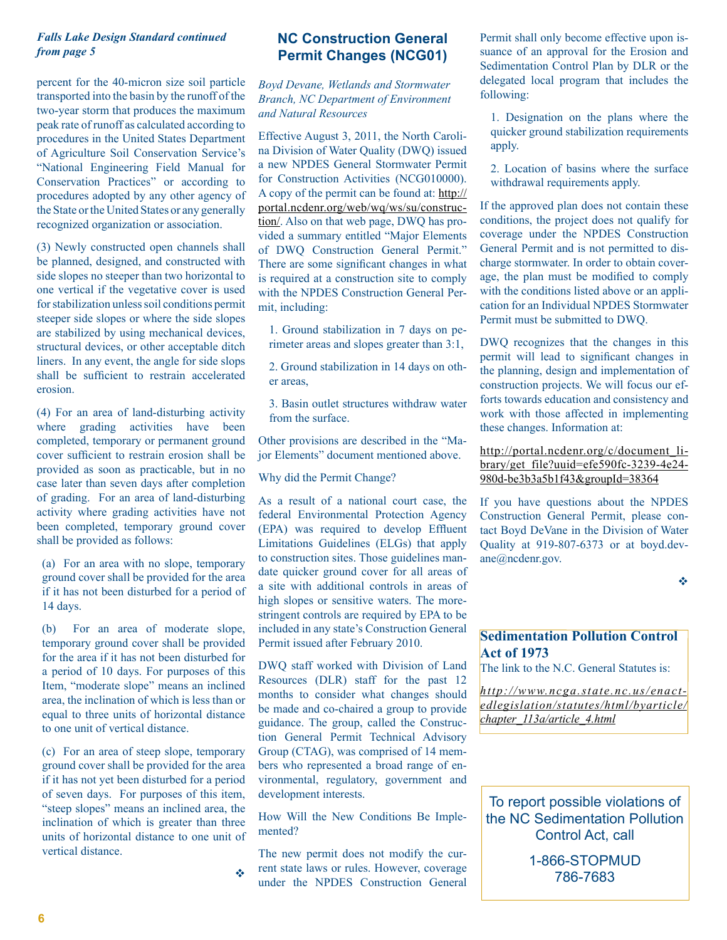#### *Falls Lake Design Standard continued from page 5*

percent for the 40-micron size soil particle transported into the basin by the runoff of the two-year storm that produces the maximum peak rate of runoff as calculated according to procedures in the United States Department of Agriculture Soil Conservation Service's "National Engineering Field Manual for Conservation Practices" or according to procedures adopted by any other agency of the State or the United States or any generally recognized organization or association.

(3) Newly constructed open channels shall be planned, designed, and constructed with side slopes no steeper than two horizontal to one vertical if the vegetative cover is used for stabilization unless soil conditions permit steeper side slopes or where the side slopes are stabilized by using mechanical devices, structural devices, or other acceptable ditch liners. In any event, the angle for side slops shall be sufficient to restrain accelerated erosion.

(4) For an area of land-disturbing activity where grading activities have been completed, temporary or permanent ground cover sufficient to restrain erosion shall be provided as soon as practicable, but in no case later than seven days after completion of grading. For an area of land-disturbing activity where grading activities have not been completed, temporary ground cover shall be provided as follows:

(a) For an area with no slope, temporary ground cover shall be provided for the area if it has not been disturbed for a period of 14 days.

(b) For an area of moderate slope, temporary ground cover shall be provided for the area if it has not been disturbed for a period of 10 days. For purposes of this Item, "moderate slope" means an inclined area, the inclination of which is less than or equal to three units of horizontal distance to one unit of vertical distance.

(c) For an area of steep slope, temporary ground cover shall be provided for the area if it has not yet been disturbed for a period of seven days. For purposes of this item, "steep slopes" means an inclined area, the inclination of which is greater than three units of horizontal distance to one unit of vertical distance.

v

#### **NC Construction General Permit Changes (NCG01)**

*Boyd Devane, Wetlands and Stormwater Branch, NC Department of Environment and Natural Resources*

Effective August 3, 2011, the North Carolina Division of Water Quality (DWQ) issued a new NPDES General Stormwater Permit for Construction Activities (NCG010000). A copy of the permit can be found at: [http://](http://portal.ncdenr.org/web/wq/ws/su/construction/) [portal.ncdenr.org/web/wq/ws/su/construc](http://portal.ncdenr.org/web/wq/ws/su/construction/)[tion/](http://portal.ncdenr.org/web/wq/ws/su/construction/). Also on that web page, DWQ has provided a summary entitled "Major Elements of DWQ Construction General Permit." There are some significant changes in what is required at a construction site to comply with the NPDES Construction General Permit, including:

- 1. Ground stabilization in 7 days on perimeter areas and slopes greater than 3:1,
- 2. Ground stabilization in 14 days on other areas,
- 3. Basin outlet structures withdraw water from the surface.

Other provisions are described in the "Major Elements" document mentioned above.

Why did the Permit Change?

As a result of a national court case, the federal Environmental Protection Agency (EPA) was required to develop Effluent Limitations Guidelines (ELGs) that apply to construction sites. Those guidelines mandate quicker ground cover for all areas of a site with additional controls in areas of high slopes or sensitive waters. The morestringent controls are required by EPA to be included in any state's Construction General Permit issued after February 2010.

DWQ staff worked with Division of Land Resources (DLR) staff for the past 12 months to consider what changes should be made and co-chaired a group to provide guidance. The group, called the Construction General Permit Technical Advisory Group (CTAG), was comprised of 14 members who represented a broad range of environmental, regulatory, government and development interests.

How Will the New Conditions Be Implemented?

The new permit does not modify the current state laws or rules. However, coverage under the NPDES Construction General Permit shall only become effective upon issuance of an approval for the Erosion and Sedimentation Control Plan by DLR or the delegated local program that includes the following:

1. Designation on the plans where the quicker ground stabilization requirements apply.

2. Location of basins where the surface withdrawal requirements apply.

If the approved plan does not contain these conditions, the project does not qualify for coverage under the NPDES Construction General Permit and is not permitted to discharge stormwater. In order to obtain coverage, the plan must be modified to comply with the conditions listed above or an application for an Individual NPDES Stormwater Permit must be submitted to DWQ.

DWQ recognizes that the changes in this permit will lead to significant changes in the planning, design and implementation of construction projects. We will focus our efforts towards education and consistency and work with those affected in implementing these changes. Information at:

[http://portal.ncdenr.org/c/document\\_li](http://portal.ncdenr.org/c/document_library/get_file?uuid=efe590fc-3239-4e24-980d-be3b3a5b1f43&groupId=38364)[brary/get\\_file?uuid=efe590fc-3239-4e24-](http://portal.ncdenr.org/c/document_library/get_file?uuid=efe590fc-3239-4e24-980d-be3b3a5b1f43&groupId=38364) [980d-be3b3a5b1f43&groupId=38364](http://portal.ncdenr.org/c/document_library/get_file?uuid=efe590fc-3239-4e24-980d-be3b3a5b1f43&groupId=38364)

If you have questions about the NPDES Construction General Permit, please contact Boyd DeVane in the Division of Water Quality at 919-807-6373 or at boyd.devane@ncdenr.gov.

v

#### **Sedimentation Pollution Control Act of 1973**

The link to the N.C. General Statutes is:

*[http://www.ncga.state.nc.us/enact](http://www.ncga.state.nc.us/enactedlegislation/statutes/html/byarticle/chapter_113a/article_4.html)[edlegislation/statutes/html/byarticle/](http://www.ncga.state.nc.us/enactedlegislation/statutes/html/byarticle/chapter_113a/article_4.html) [chapter\\_113a/article\\_4.html](http://www.ncga.state.nc.us/enactedlegislation/statutes/html/byarticle/chapter_113a/article_4.html)*

To report possible violations of the NC Sedimentation Pollution Control Act, call

> 1-866-STOPMUD 786-7683